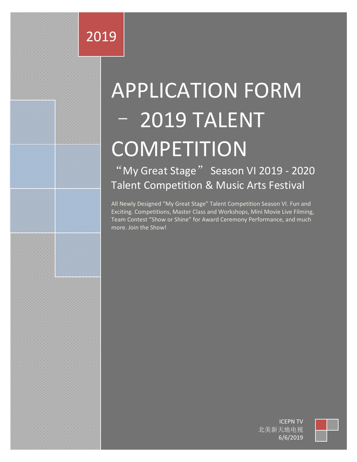# 2019

# APPLICATION FORM – 2019 TALENT **COMPETITION**

"My Great Stage" Season VI 2019 - 2020 Talent Competition & Music Arts Festival

All Newly Designed "My Great Stage" Talent Competition Season VI. Fun and Exciting. Competitions, Master Class and Workshops, Mini Movie Live Filming, Team Contest "Show or Shine" for Award Ceremony Performance, and much more. Join the Show!

> ICEPN TV 北美新天地电视 6/6/2019

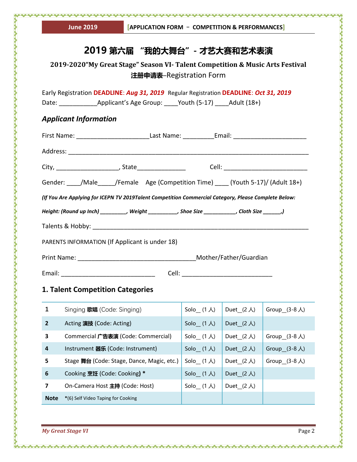|                                         | <b>AMMAAN</b><br><b>June 2019</b>                                                                    | [APPLICATION FORM - COMPETITION & PERFORMANCES] |                      |                     |                                    |  |
|-----------------------------------------|------------------------------------------------------------------------------------------------------|-------------------------------------------------|----------------------|---------------------|------------------------------------|--|
| 2019 第六届 "我的大舞台" - 才艺大赛和艺术表演            |                                                                                                      |                                                 |                      |                     |                                    |  |
|                                         | 2019-2020"My Great Stage" Season VI- Talent Competition & Music Arts Festival                        | 注册申请表-Registration Form                         |                      |                     |                                    |  |
|                                         | Early Registration DEADLINE: Aug 31, 2019 Regular Registration DEADLINE: Oct 31, 2019                |                                                 |                      |                     |                                    |  |
|                                         | <b>Applicant Information</b>                                                                         |                                                 |                      |                     |                                    |  |
|                                         |                                                                                                      |                                                 |                      |                     |                                    |  |
|                                         |                                                                                                      |                                                 |                      |                     |                                    |  |
|                                         |                                                                                                      |                                                 |                      |                     |                                    |  |
|                                         | Gender: /Male /Female Age (Competition Time) (Youth 5-17)/ (Adult 18+)                               |                                                 |                      |                     |                                    |  |
|                                         | (If You Are Applying for ICEPN TV 2019Talent Competition Commercial Category, Please Complete Below: |                                                 |                      |                     |                                    |  |
|                                         | Height: (Round up Inch) _________, Weight _________, Shoe Size _________, Cloth Size ______,)        |                                                 |                      |                     |                                    |  |
|                                         |                                                                                                      |                                                 |                      |                     |                                    |  |
|                                         | PARENTS INFORMATION (If Applicant is under 18)                                                       |                                                 |                      |                     |                                    |  |
|                                         |                                                                                                      |                                                 |                      |                     |                                    |  |
| Email:                                  |                                                                                                      | Cell:                                           |                      |                     |                                    |  |
| <b>1. Talent Competition Categories</b> |                                                                                                      |                                                 |                      |                     |                                    |  |
| 1                                       | Singing 歌唱 (Code: Singing)                                                                           |                                                 | $Solo$ $(1 \lambda)$ | Duet $(2 \lambda)$  | Group_ $(3-8 \text{ Å})$           |  |
| $\mathbf{2}$                            | Acting 演技 (Code: Acting)                                                                             |                                                 | $Solo$ $(1 \lambda)$ | Duet $(2 \lambda)$  |                                    |  |
| 3                                       | Commercial 广告表演 (Code: Commercial)                                                                   |                                                 | Solo $(1 \lambda)$   | Duet $(2 \lambda)$  | Group_ $(3-8 \text{ }\mathcal{A})$ |  |
| 4                                       | Instrument 器乐 (Code: Instrument)                                                                     |                                                 | Solo $(1 \lambda)$   | Duet_ $(2 \lambda)$ | Group_ $(3-8 \text{ Å})$           |  |
| 5                                       | Stage 舞台 (Code: Stage, Dance, Magic, etc.)                                                           |                                                 | $Solo$ $(1 \lambda)$ | Duet $(2 \lambda)$  | Group_ $(3-8 \text{ }\mathcal{A})$ |  |
| 6                                       | Cooking 烹饪 (Code: Cooking) *                                                                         |                                                 | Solo_ $(1 \lambda)$  | Duet $(2 \lambda)$  |                                    |  |

**7** On-Camera Host **主持** (Code: Host)  $\begin{bmatrix} \text{Solo} & (1 \text{ }\lambda) \end{bmatrix}$  Duet $\begin{bmatrix} (2 \text{ }\lambda) \end{bmatrix}$ 

the compartment of the company of the company of the company of the company of the company of the company of the company of the company of the company of the company of the company of the company of the company of the comp

 $\leftrightarrow$ 

*My Great Stage VI* Page 2

**Note \***(6) Self Video Taping for Cooking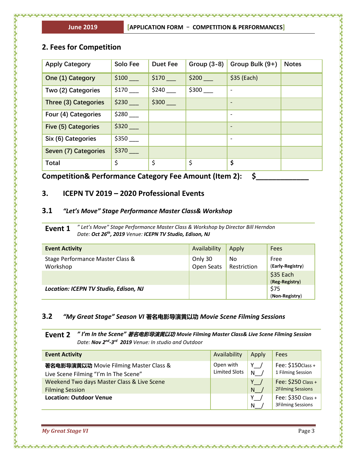# **2. Fees for Competition**

| <b>Apply Category</b>      | <b>Solo Fee</b> | <b>Duet Fee</b> | Group $(3-8)$ | Group Bulk (9+)          | <b>Notes</b> |
|----------------------------|-----------------|-----------------|---------------|--------------------------|--------------|
| One (1) Category           | \$100           | \$170           | \$200         | $$35$ (Each)             |              |
| Two (2) Categories         | \$170           | \$240           | \$300         |                          |              |
| Three (3) Categories       | \$230           | \$300           |               | $\overline{\phantom{a}}$ |              |
| Four (4) Categories        | \$280           |                 |               | $\overline{\phantom{a}}$ |              |
| <b>Five (5) Categories</b> | $$320$ $-$      |                 |               | $\overline{\phantom{a}}$ |              |
| Six (6) Categories         | \$350           |                 |               |                          |              |
| Seven (7) Categories       | \$370           |                 |               |                          |              |
| <b>Total</b>               | \$              | \$              | \$            | \$                       |              |
|                            |                 |                 |               |                          |              |

**Competition& Performance Category Fee Amount (Item 2): \$\_\_\_\_\_\_\_\_\_\_\_\_\_** 

## **3. ICEPN TV 2019 – 2020 Professional Events**

#### **3.1** *"Let's Move" Stage Performance Master Class& Workshop*

**Event 1** *" Let's Move" Stage Performance Master Class & Workshop by Director Bill Herndon Date: Oct 26th , 2019 Venue: ICEPN TV Studio, Edison, NJ*

| <b>Event Activity</b>                        | Availability          | Apply             | Fees                        |
|----------------------------------------------|-----------------------|-------------------|-----------------------------|
| Stage Performance Master Class &<br>Workshop | Only 30<br>Open Seats | No<br>Restriction | Free<br>(Early-Registry)    |
|                                              |                       |                   | \$35 Each<br>(Reg-Registry) |
| Location: ICEPN TV Studio, Edison, NJ        |                       |                   | \$75<br>(Non-Registry)      |

#### **3.2** *"My Great Stage" Season VI* **著名电影导演黄以功** *Movie Scene Filming Sessions*

**Event 2** *" I'm In the Scene"* **著名电影导演黄以功** *Movie Filming Master Class& Live Scene Filming Session Date: Nov 2 nd -3 rd 2019 Venue: In studio and Outdoor*

| <b>Event Activity</b>                      | Availability         | Apply           | Fees                                           |
|--------------------------------------------|----------------------|-----------------|------------------------------------------------|
| 著名电影导演黄以功 Movie Filming Master Class &     | Open with            | Y,              | Fee: \$150 Class +                             |
| Live Scene Filming "I'm In The Scene"      | <b>Limited Slots</b> | $N$ /           | 1 Filming Session                              |
| Weekend Two days Master Class & Live Scene |                      | $Y \rightarrow$ | Fee: \$250 Class +                             |
| <b>Filming Session</b>                     |                      | N               | <b>2Filming Sessions</b>                       |
| <b>Location: Outdoor Venue</b>             |                      | Y.<br>N         | Fee: \$350 Class +<br><b>3Filming Sessions</b> |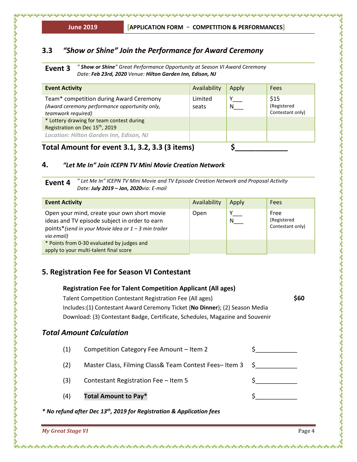# **3.3** *"Show or Shine" Join the Performance for Award Ceremony*

**Event 3** *" Show or Shine" Great Performance Opportunity at Season VI Award Ceremony Date: Feb 23rd, 2020 Venue: Hilton Garden Inn, Edison, NJ*

| <b>Event Activity</b>                                                                                                                                                                                                                                        | Availability     | Apply | Fees                                    |
|--------------------------------------------------------------------------------------------------------------------------------------------------------------------------------------------------------------------------------------------------------------|------------------|-------|-----------------------------------------|
| Team* competition during Award Ceremony<br>(Award ceremony performance opportunity only,<br>teamwork required)<br>* Lottery drawing for team contest during<br>Registration on Dec 15 <sup>th</sup> , 2019<br><b>Location: Hilton Garden Inn, Edison, NJ</b> | Limited<br>seats |       | \$15<br>(Registered<br>Contestant only) |
| .                                                                                                                                                                                                                                                            |                  |       |                                         |

# **Total Amount for event 3.1, 3.2, 3.3 (3 items) \$\_\_\_\_\_\_\_\_\_\_\_\_\_**

## **4.** *"Let Me In" Join ICEPN TV Mini Movie Creation Network*

**Event 4** *" Let Me In" ICEPN TV Mini Movie and TV Episode Creation Network and Proposal Activity Date: July 2019 – Jan, 2020via: E-mail* 

| <b>Event Activity</b>                                                                                                                                                | Availability | Apply | <b>Fees</b>                             |
|----------------------------------------------------------------------------------------------------------------------------------------------------------------------|--------------|-------|-----------------------------------------|
| Open your mind, create your own short movie<br>ideas and TV episode subject in order to earn<br>points*(send in your Movie Idea or $1 - 3$ min trailer<br>via email) | Open         | N     | Free<br>(Registered<br>Contestant only) |
| * Points from 0-30 evaluated by judges and                                                                                                                           |              |       |                                         |
| apply to your multi-talent final score                                                                                                                               |              |       |                                         |

# **5. Registration Fee for Season VI Contestant**

|                                                                                   |                                                           | <b>Registration Fee for Talent Competition Applicant (All ages)</b>           |   |  |  |
|-----------------------------------------------------------------------------------|-----------------------------------------------------------|-------------------------------------------------------------------------------|---|--|--|
|                                                                                   | Talent Competition Contestant Registration Fee (All ages) |                                                                               |   |  |  |
|                                                                                   |                                                           | Includes:(1) Contestant Award Ceremony Ticket (No Dinner); (2) Season Media   |   |  |  |
|                                                                                   |                                                           | Download: (3) Contestant Badge, Certificate, Schedules, Magazine and Souvenir |   |  |  |
|                                                                                   |                                                           | <b>Total Amount Calculation</b>                                               |   |  |  |
|                                                                                   | (1)                                                       | Competition Category Fee Amount - Item 2                                      |   |  |  |
|                                                                                   | (2)                                                       | Master Class, Filming Class& Team Contest Fees-Item 3                         | S |  |  |
|                                                                                   | (3)                                                       | Contestant Registration Fee - Item 5                                          |   |  |  |
|                                                                                   | (4)                                                       | <b>Total Amount to Pay*</b>                                                   |   |  |  |
| * No refund after Dec 13 <sup>th</sup> , 2019 for Registration & Application fees |                                                           |                                                                               |   |  |  |

*My Great Stage VI* Page 4